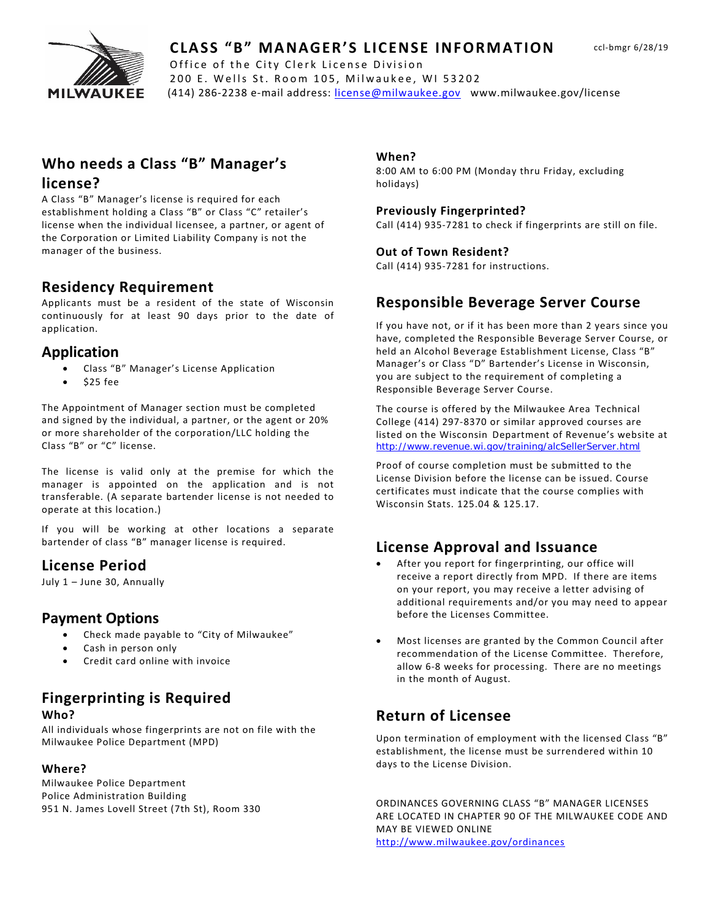

### **CLASS "B" MANAGER'S LICENSE INFORMATION**

MILWAUKEE (414) 286-2238 e-mail address: [license@milwaukee.gov](mailto:LICENSE@MILWAUKEE.GOV) www.milwaukee.gov/license Office of the City Clerk License Division 200 E. Wells St. Room 105, Milwaukee, WI 53202

# **Who needs a Class "B" Manager's**

#### **license?**

A Class "B" Manager's license is required for each establishment holding a Class "B" or Class "C" retailer's license when the individual licensee, a partner, or agent of the Corporation or Limited Liability Company is not the manager of the business.

### **Residency Requirement**

Applicants must be a resident of the state of Wisconsin continuously for at least 90 days prior to the date of application.

### **Application**

- Class "B" Manager's License Application
- \$25 fee

The Appointment of Manager section must be completed and signed by the individual, a partner, or the agent or 20% or more shareholder of the corporation/LLC holding the Class "B" or "C" license.

The license is valid only at the premise for which the manager is appointed on the application and is not transferable. (A separate bartender license is not needed to operate at this location.)

If you will be working at other locations a separate bartender of class "B" manager license is required.

# **License Period**

July 1 – June 30, Annually

### **Payment Options**

- Check made payable to "City of Milwaukee"
- Cash in person only
- Credit card online with invoice

# **Fingerprinting is Required**

#### **Who?**

All individuals whose fingerprints are not on file with the Milwaukee Police Department (MPD)

#### **Where?**

Milwaukee Police Department Police Administration Building 951 N. James Lovell Street (7th St), Room 330

#### **When?**

8:00 AM to 6:00 PM (Monday thru Friday, excluding holidays)

#### **Previously Fingerprinted?**

Call (414) 935-7281 to check if fingerprints are still on file.

#### **Out of Town Resident?**

Call (414) 935-7281 for instructions.

### **Responsible Beverage Server Course**

If you have not, or if it has been more than 2 years since you have, completed the Responsible Beverage Server Course, or held an Alcohol Beverage Establishment License, Class "B" Manager's or Class "D" Bartender's License in Wisconsin, you are subject to the requirement of completing a Responsible Beverage Server Course.

The course is offered by the Milwaukee Area Technical College (414) 297-8370 or similar approved courses are listed on the Wisconsin Department of Revenue's website at <http://www.revenue.wi.gov/training/alcSellerServer.html>

Proof of course completion must be submitted to the License Division before the license can be issued. Course certificates must indicate that the course complies with Wisconsin Stats. 125.04 & 125.17.

### **License Approval and Issuance**

- After you report for fingerprinting, our office will receive a report directly from MPD. If there are items on your report, you may receive a letter advising of additional requirements and/or you may need to appear before the Licenses Committee.
- Most licenses are granted by the Common Council after recommendation of the License Committee. Therefore, allow 6-8 weeks for processing. There are no meetings in the month of August.

# **Return of Licensee**

Upon termination of employment with the licensed Class "B" establishment, the license must be surrendered within 10 days to the License Division.

ORDINANCES GOVERNING CLASS "B" MANAGER LICENSES ARE LOCATED IN CHAPTER 90 OF THE MILWAUKEE CODE AND MAY BE VIEWED ONLINE <http://www.milwaukee.gov/ordinances>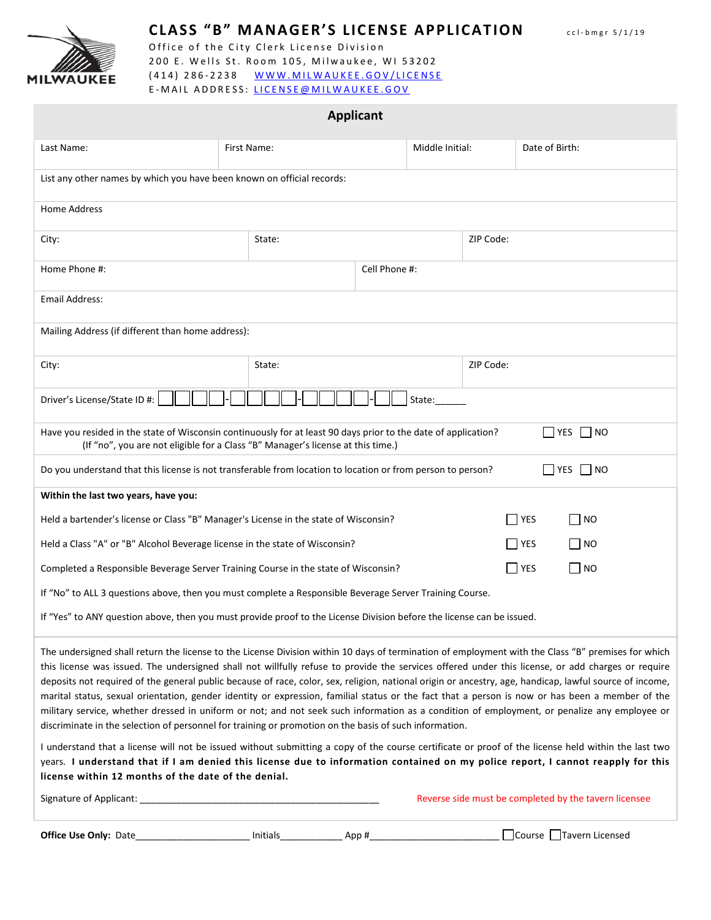

### **CLASS "B" MANAGER'S LICENSE APPLICATION** ccl - bmgr 5/1/19

Office of the City Clerk License Division 200 E. Wells St. Room 105, Milwaukee, WI 53202 (414) 286-2238 [WWW.MILWAUKEE.GOV/LI](http://www.milwaukee.gov/license)CENSE E - MAIL ADDRESS: [LICENSE@MILWAUKEE.GO](mailto:LICENSE@MILWAUKEE.GOV) V

| <b>Applicant</b>                                                                                                                                                                                                                                                                                                                                                                                                                                                                                                                                                                                                                                                                                                                                                                                                                                                                |             |          |               |  |            |  |  |           |                 |           |                                                       |  |
|---------------------------------------------------------------------------------------------------------------------------------------------------------------------------------------------------------------------------------------------------------------------------------------------------------------------------------------------------------------------------------------------------------------------------------------------------------------------------------------------------------------------------------------------------------------------------------------------------------------------------------------------------------------------------------------------------------------------------------------------------------------------------------------------------------------------------------------------------------------------------------|-------------|----------|---------------|--|------------|--|--|-----------|-----------------|-----------|-------------------------------------------------------|--|
| Last Name:                                                                                                                                                                                                                                                                                                                                                                                                                                                                                                                                                                                                                                                                                                                                                                                                                                                                      | First Name: |          |               |  |            |  |  |           | Middle Initial: |           | Date of Birth:                                        |  |
| List any other names by which you have been known on official records:                                                                                                                                                                                                                                                                                                                                                                                                                                                                                                                                                                                                                                                                                                                                                                                                          |             |          |               |  |            |  |  |           |                 |           |                                                       |  |
| <b>Home Address</b>                                                                                                                                                                                                                                                                                                                                                                                                                                                                                                                                                                                                                                                                                                                                                                                                                                                             |             |          |               |  |            |  |  |           |                 |           |                                                       |  |
| City:                                                                                                                                                                                                                                                                                                                                                                                                                                                                                                                                                                                                                                                                                                                                                                                                                                                                           | State:      |          |               |  |            |  |  | ZIP Code: |                 |           |                                                       |  |
| Home Phone #:                                                                                                                                                                                                                                                                                                                                                                                                                                                                                                                                                                                                                                                                                                                                                                                                                                                                   |             |          | Cell Phone #: |  |            |  |  |           |                 |           |                                                       |  |
| Email Address:                                                                                                                                                                                                                                                                                                                                                                                                                                                                                                                                                                                                                                                                                                                                                                                                                                                                  |             |          |               |  |            |  |  |           |                 |           |                                                       |  |
| Mailing Address (if different than home address):                                                                                                                                                                                                                                                                                                                                                                                                                                                                                                                                                                                                                                                                                                                                                                                                                               |             |          |               |  |            |  |  |           |                 |           |                                                       |  |
| City:                                                                                                                                                                                                                                                                                                                                                                                                                                                                                                                                                                                                                                                                                                                                                                                                                                                                           | State:      |          |               |  |            |  |  |           | ZIP Code:       |           |                                                       |  |
| Driver's License/State ID #:                                                                                                                                                                                                                                                                                                                                                                                                                                                                                                                                                                                                                                                                                                                                                                                                                                                    |             |          |               |  |            |  |  | State:    |                 |           |                                                       |  |
| Have you resided in the state of Wisconsin continuously for at least 90 days prior to the date of application?<br>(If "no", you are not eligible for a Class "B" Manager's license at this time.)                                                                                                                                                                                                                                                                                                                                                                                                                                                                                                                                                                                                                                                                               |             |          |               |  |            |  |  |           |                 |           |                                                       |  |
| $\Box$ YES $\Box$ NO<br>Do you understand that this license is not transferable from location to location or from person to person?                                                                                                                                                                                                                                                                                                                                                                                                                                                                                                                                                                                                                                                                                                                                             |             |          |               |  |            |  |  |           |                 |           |                                                       |  |
| Within the last two years, have you:                                                                                                                                                                                                                                                                                                                                                                                                                                                                                                                                                                                                                                                                                                                                                                                                                                            |             |          |               |  |            |  |  |           |                 |           |                                                       |  |
| Held a bartender's license or Class "B" Manager's License in the state of Wisconsin?<br>│ ∣YES<br>$\Box$ NO                                                                                                                                                                                                                                                                                                                                                                                                                                                                                                                                                                                                                                                                                                                                                                     |             |          |               |  |            |  |  |           |                 |           |                                                       |  |
| Held a Class "A" or "B" Alcohol Beverage license in the state of Wisconsin?                                                                                                                                                                                                                                                                                                                                                                                                                                                                                                                                                                                                                                                                                                                                                                                                     |             |          |               |  | <b>YES</b> |  |  |           |                 | $\Box$ NO |                                                       |  |
| $\Box$ NO<br>$\Box$ YES<br>Completed a Responsible Beverage Server Training Course in the state of Wisconsin?                                                                                                                                                                                                                                                                                                                                                                                                                                                                                                                                                                                                                                                                                                                                                                   |             |          |               |  |            |  |  |           |                 |           |                                                       |  |
| If "No" to ALL 3 questions above, then you must complete a Responsible Beverage Server Training Course.                                                                                                                                                                                                                                                                                                                                                                                                                                                                                                                                                                                                                                                                                                                                                                         |             |          |               |  |            |  |  |           |                 |           |                                                       |  |
| If "Yes" to ANY question above, then you must provide proof to the License Division before the license can be issued.                                                                                                                                                                                                                                                                                                                                                                                                                                                                                                                                                                                                                                                                                                                                                           |             |          |               |  |            |  |  |           |                 |           |                                                       |  |
| The undersigned shall return the license to the License Division within 10 days of termination of employment with the Class "B" premises for which<br>this license was issued. The undersigned shall not willfully refuse to provide the services offered under this license, or add charges or require<br>deposits not required of the general public because of race, color, sex, religion, national origin or ancestry, age, handicap, lawful source of income,<br>marital status, sexual orientation, gender identity or expression, familial status or the fact that a person is now or has been a member of the<br>military service, whether dressed in uniform or not; and not seek such information as a condition of employment, or penalize any employee or<br>discriminate in the selection of personnel for training or promotion on the basis of such information. |             |          |               |  |            |  |  |           |                 |           |                                                       |  |
| I understand that a license will not be issued without submitting a copy of the course certificate or proof of the license held within the last two<br>years. I understand that if I am denied this license due to information contained on my police report, I cannot reapply for this<br>license within 12 months of the date of the denial.                                                                                                                                                                                                                                                                                                                                                                                                                                                                                                                                  |             |          |               |  |            |  |  |           |                 |           |                                                       |  |
|                                                                                                                                                                                                                                                                                                                                                                                                                                                                                                                                                                                                                                                                                                                                                                                                                                                                                 |             |          |               |  |            |  |  |           |                 |           | Reverse side must be completed by the tavern licensee |  |
| Office Use Only: Date                                                                                                                                                                                                                                                                                                                                                                                                                                                                                                                                                                                                                                                                                                                                                                                                                                                           |             | Initials |               |  | App#       |  |  |           |                 |           | $\Box$ Course $\Box$ Tavern Licensed                  |  |